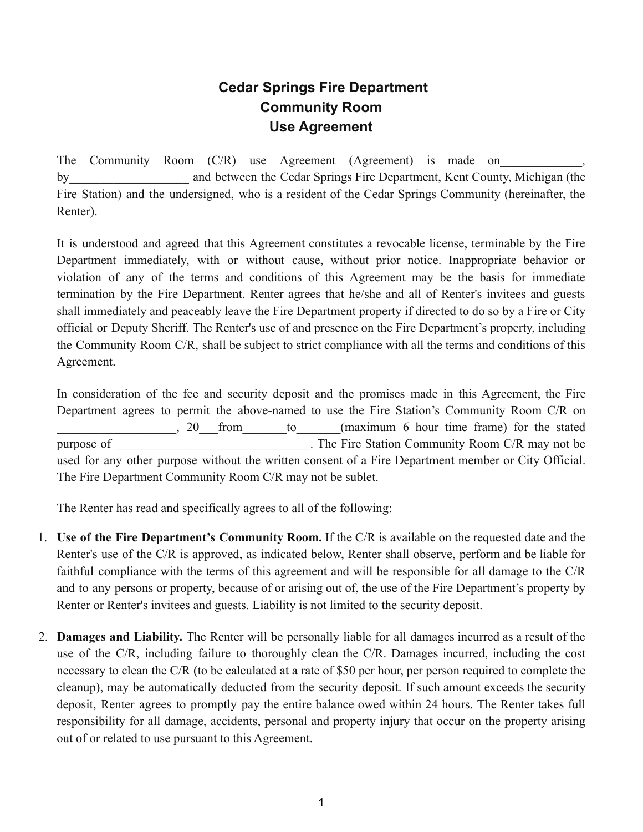## **Cedar Springs Fire Department Community Room Use Agreement**

The Community Room  $(C/R)$  use Agreement (Agreement) is made on by and between the Cedar Springs Fire Department, Kent County, Michigan (the Fire Station) and the undersigned, who is a resident of the Cedar Springs Community (hereinafter, the Renter).

It is understood and agreed that this Agreement constitutes a revocable license, terminable by the Fire Department immediately, with or without cause, without prior notice. Inappropriate behavior or violation of any of the terms and conditions of this Agreement may be the basis for immediate termination by the Fire Department. Renter agrees that he/she and all of Renter's invitees and guests shall immediately and peaceably leave the Fire Department property if directed to do so by a Fire or City official or Deputy Sheriff. The Renter's use of and presence on the Fire Department's property, including the Community Room C/R, shall be subject to strict compliance with all the terms and conditions of this Agreement.

In consideration of the fee and security deposit and the promises made in this Agreement, the Fire Department agrees to permit the above-named to use the Fire Station's Community Room C/R on 20 from to (maximum 6 hour time frame) for the stated purpose of The Fire Station Community Room C/R may not be used for any other purpose without the written consent of a Fire Department member or City Official. The Fire Department Community Room C/R may not be sublet.

The Renter has read and specifically agrees to all of the following:

- 1. **Use of the Fire Department's Community Room.** If the C/R is available on the requested date and the Renter's use of the C/R is approved, as indicated below, Renter shall observe, perform and be liable for faithful compliance with the terms of this agreement and will be responsible for all damage to the C/R and to any persons or property, because of or arising out of, the use of the Fire Department's property by Renter or Renter's invitees and guests. Liability is not limited to the security deposit.
- 2. **Damages and Liability.** The Renter will be personally liable for all damages incurred as a result of the use of the C/R, including failure to thoroughly clean the C/R. Damages incurred, including the cost necessary to clean the C/R (to be calculated at a rate of \$50 per hour, per person required to complete the cleanup), may be automatically deducted from the security deposit. If such amount exceeds the security deposit, Renter agrees to promptly pay the entire balance owed within 24 hours. The Renter takes full responsibility for all damage, accidents, personal and property injury that occur on the property arising out of or related to use pursuant to this Agreement.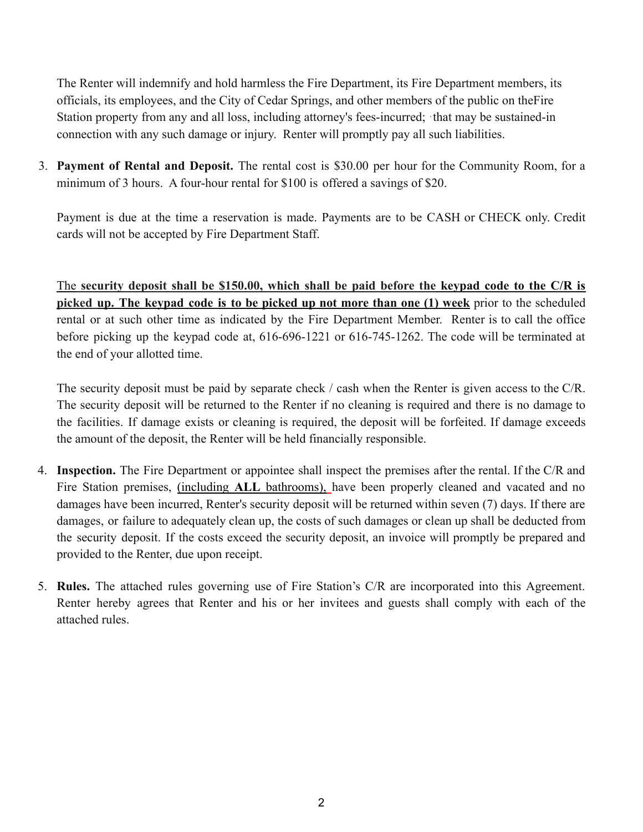The Renter will indemnify and hold harmless the Fire Department, its Fire Department members, its officials, its employees, and the City of Cedar Springs, and other members of the public on theFire Station property from any and all loss, including attorney's fees-incurred; that may be sustained-in connection with any such damage or injury. Renter will promptly pay all such liabilities.

3. **Payment of Rental and Deposit.** The rental cost is \$30.00 per hour for the Community Room, for a minimum of 3 hours. A four-hour rental for \$100 is offered a savings of \$20.

Payment is due at the time a reservation is made. Payments are to be CASH or CHECK only. Credit cards will not be accepted by Fire Department Staff.

The **security deposit shall be \$150.00, which shall be paid before the keypad code to the C/R is picked up. The keypad code is to be picked up not more than one (1) week** prior to the scheduled rental or at such other time as indicated by the Fire Department Member. Renter is to call the office before picking up the keypad code at, 616-696-1221 or 616-745-1262. The code will be terminated at the end of your allotted time.

The security deposit must be paid by separate check / cash when the Renter is given access to the C/R. The security deposit will be returned to the Renter if no cleaning is required and there is no damage to the facilities. If damage exists or cleaning is required, the deposit will be forfeited. If damage exceeds the amount of the deposit, the Renter will be held financially responsible.

- 4. **Inspection.** The Fire Department or appointee shall inspect the premises after the rental. If the C/R and Fire Station premises, (including **ALL** bathrooms), have been properly cleaned and vacated and no damages have been incurred, Renter's security deposit will be returned within seven (7) days. If there are damages, or failure to adequately clean up, the costs of such damages or clean up shall be deducted from the security deposit. If the costs exceed the security deposit, an invoice will promptly be prepared and provided to the Renter, due upon receipt.
- 5. **Rules.** The attached rules governing use of Fire Station's C/R are incorporated into this Agreement. Renter hereby agrees that Renter and his or her invitees and guests shall comply with each of the attached rules.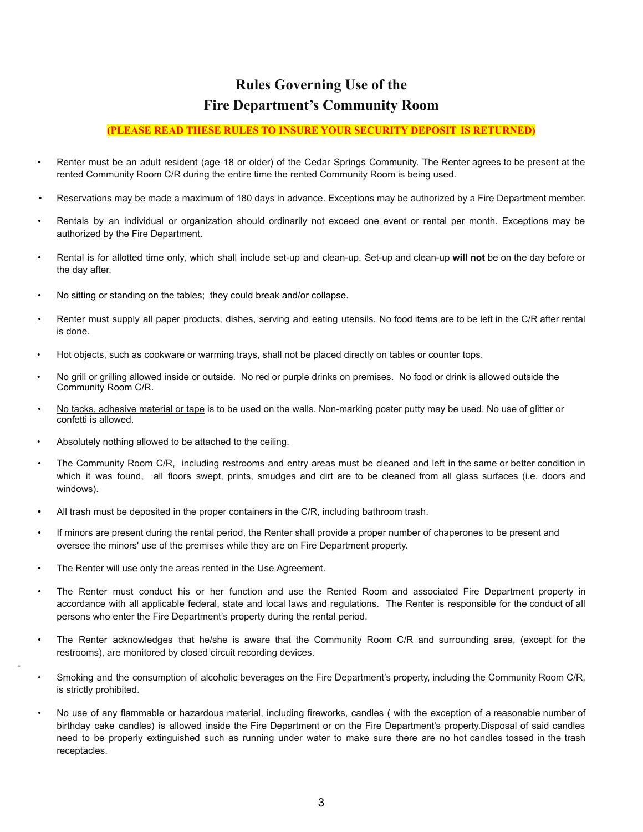## **Rules Governing Use of the Fire Department's Community Room**

## **(PLEASE READ THESE RULES TO INSURE YOUR SECURITY DEPOSIT IS RETURNED)**

- Renter must be an adult resident (age 18 or older) of the Cedar Springs Community. The Renter agrees to be present at the rented Community Room C/R during the entire time the rented Community Room is being used.
- Reservations may be made a maximum of 180 days in advance. Exceptions may be authorized by a Fire Department member.
- Rentals by an individual or organization should ordinarily not exceed one event or rental per month. Exceptions may be authorized by the Fire Department.
- Rental is for allotted time only, which shall include set-up and clean-up. Set-up and clean-up **will not** be on the day before or the day after.
- No sitting or standing on the tables; they could break and/or collapse.
- Renter must supply all paper products, dishes, serving and eating utensils. No food items are to be left in the C/R after rental is done.
- Hot objects, such as cookware or warming trays, shall not be placed directly on tables or counter tops.
- No grill or grilling allowed inside or outside. No red or purple drinks on premises. No food or drink is allowed outside the Community Room C/R.
- No tacks, adhesive material or tape is to be used on the walls. Non-marking poster putty may be used. No use of glitter or confetti is allowed.
- Absolutely nothing allowed to be attached to the ceiling.
- The Community Room C/R, including restrooms and entry areas must be cleaned and left in the same or better condition in which it was found, all floors swept, prints, smudges and dirt are to be cleaned from all glass surfaces (i.e. doors and windows).
- **•** All trash must be deposited in the proper containers in the C/R, including bathroom trash.
- If minors are present during the rental period, the Renter shall provide a proper number of chaperones to be present and oversee the minors' use of the premises while they are on Fire Department property.
- The Renter will use only the areas rented in the Use Agreement.

-

- The Renter must conduct his or her function and use the Rented Room and associated Fire Department property in accordance with all applicable federal, state and local laws and regulations. The Renter is responsible for the conduct of all persons who enter the Fire Department's property during the rental period.
- The Renter acknowledges that he/she is aware that the Community Room C/R and surrounding area, (except for the restrooms), are monitored by closed circuit recording devices.
- Smoking and the consumption of alcoholic beverages on the Fire Department's property, including the Community Room C/R, is strictly prohibited.
- No use of any flammable or hazardous material, including fireworks, candles ( with the exception of a reasonable number of birthday cake candles) is allowed inside the Fire Department or on the Fire Department's property.Disposal of said candles need to be properly extinguished such as running under water to make sure there are no hot candles tossed in the trash receptacles.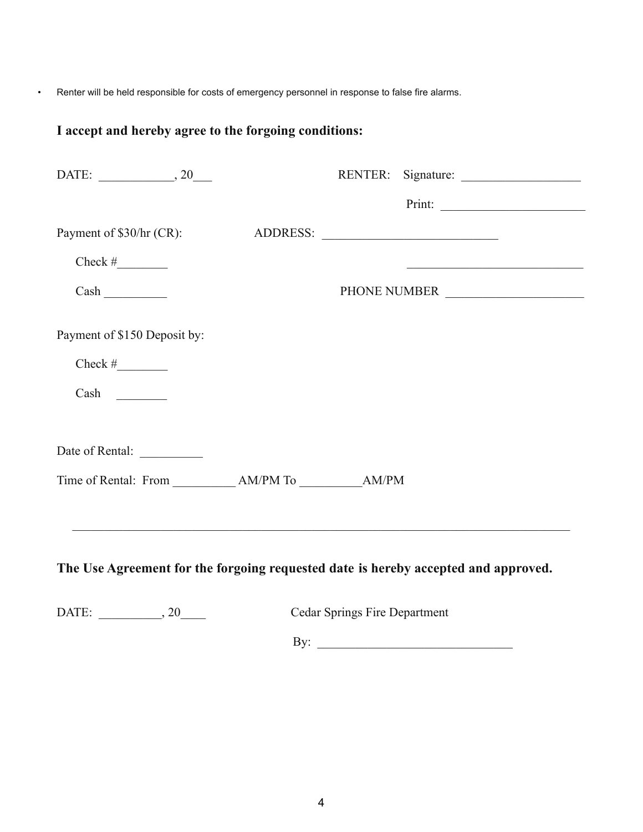• Renter will be held responsible for costs of emergency personnel in response to false fire alarms.

## **I accept and hereby agree to the forgoing conditions:**

| DATE: $\_\_\_\_\_$ , 20      |  | RENTER: Signature: |
|------------------------------|--|--------------------|
|                              |  |                    |
| Payment of \$30/hr (CR):     |  | ADDRESS:           |
|                              |  |                    |
|                              |  | PHONE NUMBER       |
| Payment of \$150 Deposit by: |  |                    |
|                              |  |                    |
| $Cash \_$                    |  |                    |
|                              |  |                    |
|                              |  |                    |
|                              |  |                    |
|                              |  |                    |
|                              |  |                    |

**The Use Agreement for the forgoing requested date is hereby accepted and approved.**

DATE: \_\_\_\_\_\_\_\_\_, 20\_\_\_\_\_ Cedar Springs Fire Department

By: \_\_\_\_\_\_\_\_\_\_\_\_\_\_\_\_\_\_\_\_\_\_\_\_\_\_\_\_\_\_\_